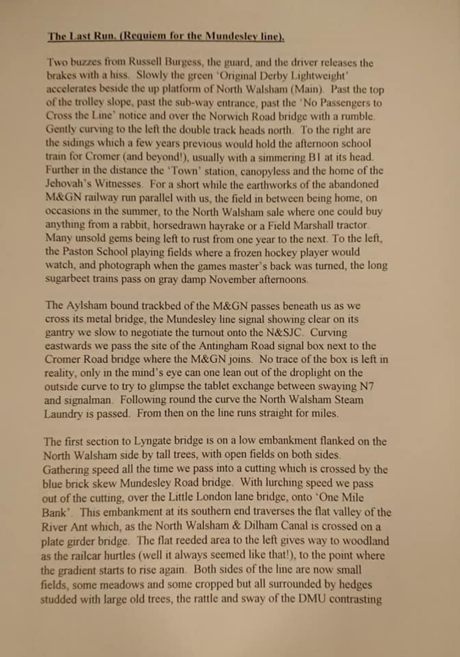## **The Last Run. (Requiem for the Mundesley line).**

Two buzzes from Russell Burgess, the guard, and the driver releases the **brakes with a hiss, Slowly the green 'Original Derby lightweight'** accelerates beside the up platform of North Walsham (Main). Past the top of the trolley slope, past the sub-way entrance, past the 'No Passengers to **Cross the line' notice and over the Norwich Road bridge with a nimble** Gently curving to the left the double track heads north. To the right are **the sidings winch a few years previous would hold the afternoon school** train for Cromer (and beyond!), usually with a simmering B1 at its head. **Further in the distance the 'Town' station, canopyless and the home of the Jehovah's Witnesses. For a short while the earthworks of the abandoned M&GN railway run parallel with us, the field in between being home, on occasions in the summer, to the North Walsham sale where one could buy** anything from a rabbit, horsedrawn havrake or a Field Marshall tractor Many unsold gems being left to rust from one year to the next. To the left, **the Paston School playing fields where a frozen hockey player would watch, and photograph when the games master's back was turned, the long sugarbeet trains pass on gray damp November afternoons.**

The Aylsham bound trackbed of the M&GN passes beneath us as we **cross its metal bridge, the Mundesley line signal showing clear on its gantry we slow to negotiate the turnout onto the N&SJC. Curving eastwards we pass the site of the Antingham Road signal box next to the Cromer Road bridge where the M&GN joins. No trace of the box is left in reality, only in the mind's eye can one lean out of the droplight on the outside curve to try to glimpse the tablet exchange between swaying N7 and signalman. Following round the curve the North Walsham Steam Laundry is passed\_ From then on the line runs straight for miles\_**

**The first section to Lyngate bridge is on a low embankment flanked on the North Walsham side by tall trees, with open fields on both sides. Gathering speed all the time we pass into a cutting which is crossed by the blue brick skew Mundesley Road bndge. With lurching speed we pass out of the cutting, over the Little London lane bridge, onto 'One Mile** Bank'. This embankment at its southern end traverses the flat valley of the **River Ant which, as the North Walsham & Dilham Canal is crossed on a plate girder bridge. The flat reedcd area to the left gives way to woodland as the railcar hurtles (well it always seemed like that!), to the point where the gradient starts to rise again. Both sides of the line are now small fields, some meadows and some cropped but all surrounded by hedges studded with large old trees, the rattle and sway of the DMU contrasting**